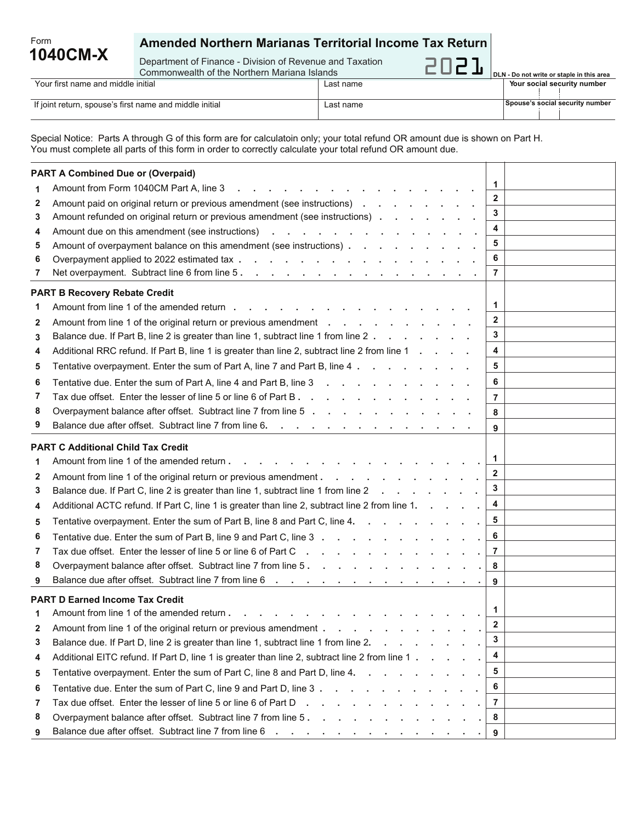## **Amended Northern Marianas Territorial Income Tax Return**

Department of Finance - Division of Revenue and Taxation

**1040CM-X**

Form

 Your first name and middle initial Last name Commonwealth of the Northern Mariana Islands

**Your social security number** 2021 **DLN - Do not write or staple in this area**

| TUGI TIIJI HANNO ANG MIGGIO MILIGI                      | Last name |  | , 1981 999181 99981 ILV TIBILIDOI |
|---------------------------------------------------------|-----------|--|-----------------------------------|
|                                                         |           |  |                                   |
|                                                         |           |  |                                   |
| If joint return, spouse's first name and middle initial | ∶name     |  | ⊺Spouse's social security number  |
|                                                         |           |  |                                   |

Special Notice: Parts A through G of this form are for calculatoin only; your total refund OR amount due is shown on Part H. You must complete all parts of this form in order to correctly calculate your total refund OR amount due.

| <b>PART A Combined Due or (Overpaid)</b> |                                                                                                                                                                                      |                         |  |  |  |  |
|------------------------------------------|--------------------------------------------------------------------------------------------------------------------------------------------------------------------------------------|-------------------------|--|--|--|--|
| 1                                        | Amount from Form 1040CM Part A, line 3<br>$\mathcal{L}=\mathcal{L}$                                                                                                                  | 1                       |  |  |  |  |
| 2                                        | Amount paid on original return or previous amendment (see instructions)                                                                                                              | $\mathbf{2}$            |  |  |  |  |
| 3                                        | Amount refunded on original return or previous amendment (see instructions)                                                                                                          | 3                       |  |  |  |  |
| 4                                        | Amount due on this amendment (see instructions)<br>and the contract of the contract of the                                                                                           | 4                       |  |  |  |  |
| 5                                        | Amount of overpayment balance on this amendment (see instructions)                                                                                                                   | 5                       |  |  |  |  |
| 6                                        | Overpayment applied to 2022 estimated tax                                                                                                                                            | 6                       |  |  |  |  |
| 7                                        | Net overpayment. Subtract line 6 from line 5.<br>the contract of the contract of the contract of the con-                                                                            | 7                       |  |  |  |  |
|                                          | <b>PART B Recovery Rebate Credit</b>                                                                                                                                                 |                         |  |  |  |  |
| 1                                        | Amount from line 1 of the amended return                                                                                                                                             | 1                       |  |  |  |  |
| 2                                        | Amount from line 1 of the original return or previous amendment                                                                                                                      | $\mathbf{2}$            |  |  |  |  |
| 3                                        | Balance due. If Part B, line 2 is greater than line 1, subtract line 1 from line 2                                                                                                   | 3                       |  |  |  |  |
| 4                                        | Additional RRC refund. If Part B, line 1 is greater than line 2, subtract line 2 from line 1                                                                                         | 4                       |  |  |  |  |
| 5                                        | Tentative overpayment. Enter the sum of Part A, line 7 and Part B, line 4.<br>and the control of the con-                                                                            | 5                       |  |  |  |  |
| 6                                        | Tentative due. Enter the sum of Part A, line 4 and Part B, line 3<br>the contract of the contract of the contract of the contract of the contract of the contract of the contract of | 6                       |  |  |  |  |
| 7                                        | Tax due offset. Enter the lesser of line 5 or line 6 of Part B.                                                                                                                      | 7                       |  |  |  |  |
| 8                                        | Overpayment balance after offset. Subtract line 7 from line 5                                                                                                                        | 8                       |  |  |  |  |
| 9                                        | Balance due after offset. Subtract line 7 from line 6.                                                                                                                               | 9                       |  |  |  |  |
|                                          | <b>PART C Additional Child Tax Credit</b>                                                                                                                                            |                         |  |  |  |  |
| 1                                        | Amount from line 1 of the amended return.<br>and a strategic control of the strategic                                                                                                | 1                       |  |  |  |  |
| 2                                        | Amount from line 1 of the original return or previous amendment.<br>the contract of the contract of the contract of the contract of the contract of the contract of the contract of  | $\mathbf{2}$            |  |  |  |  |
| 3                                        | Balance due. If Part C, line 2 is greater than line 1, subtract line 1 from line 2                                                                                                   | 3                       |  |  |  |  |
| 4                                        | Additional ACTC refund. If Part C, line 1 is greater than line 2, subtract line 2 from line 1.                                                                                       | 4                       |  |  |  |  |
| 5                                        | Tentative overpayment. Enter the sum of Part B, line 8 and Part C, line 4.                                                                                                           | 5                       |  |  |  |  |
| 6                                        | Tentative due. Enter the sum of Part B, line 9 and Part C, line 3                                                                                                                    | 6                       |  |  |  |  |
| 7                                        | Tax due offset. Enter the lesser of line 5 or line 6 of Part C                                                                                                                       | 7                       |  |  |  |  |
| 8                                        | Overpayment balance after offset. Subtract line 7 from line 5.                                                                                                                       | 8                       |  |  |  |  |
| 9                                        | Balance due after offset. Subtract line 7 from line 6                                                                                                                                | 9                       |  |  |  |  |
|                                          | <b>PART D Earned Income Tax Credit</b>                                                                                                                                               |                         |  |  |  |  |
|                                          | Amount from line 1 of the amended return                                                                                                                                             | 1                       |  |  |  |  |
| 2                                        | Amount from line 1 of the original return or previous amendment.                                                                                                                     | $\mathbf{2}$            |  |  |  |  |
| 3                                        | Balance due. If Part D, line 2 is greater than line 1, subtract line 1 from line 2.<br>the contract of the contract of the                                                           | 3                       |  |  |  |  |
| 4                                        | Additional EITC refund. If Part D, line 1 is greater than line 2, subtract line 2 from line 1                                                                                        | $\overline{\mathbf{4}}$ |  |  |  |  |
| 5                                        | Tentative overpayment. Enter the sum of Part C, line 8 and Part D, line 4.                                                                                                           | 5                       |  |  |  |  |
| 6                                        | Tentative due. Enter the sum of Part C, line 9 and Part D, line 3                                                                                                                    | 6                       |  |  |  |  |
| 7                                        | Tax due offset. Enter the lesser of line 5 or line 6 of Part D.                                                                                                                      | $\overline{7}$          |  |  |  |  |
| 8                                        |                                                                                                                                                                                      | 8                       |  |  |  |  |
| 9                                        |                                                                                                                                                                                      | 9                       |  |  |  |  |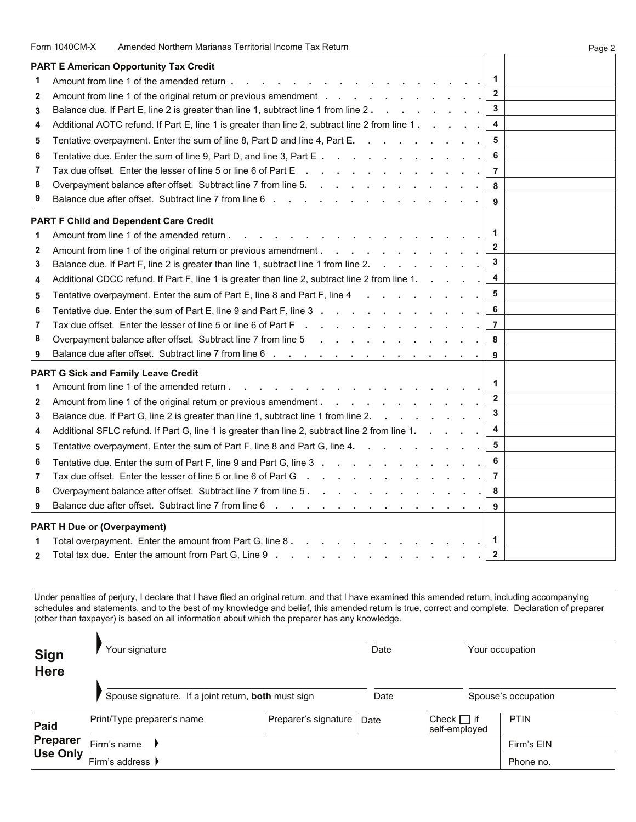|                | Form 1040CM-X<br>Amended Northern Marianas Territorial Income Tax Return                                                               | Page 2 |
|----------------|----------------------------------------------------------------------------------------------------------------------------------------|--------|
|                | <b>PART E American Opportunity Tax Credit</b>                                                                                          |        |
| 1              | 1<br>Amount from line 1 of the amended return.                                                                                         |        |
| 2              | $\overline{2}$                                                                                                                         |        |
| 3              | 3<br>Balance due. If Part E, line 2 is greater than line 1, subtract line 1 from line 2.                                               |        |
| 4              | Additional AOTC refund. If Part E, line 1 is greater than line 2, subtract line 2 from line 1.<br>4                                    |        |
| 5              | 5<br>Tentative overpayment. Enter the sum of line 8, Part D and line 4, Part E.                                                        |        |
| 6              | 6<br>Tentative due. Enter the sum of line 9, Part D, and line 3, Part E                                                                |        |
| 7              | Tax due offset. Enter the lesser of line 5 or line 6 of Part E<br>$\overline{7}$                                                       |        |
| 8              | Overpayment balance after offset. Subtract line 7 from line 5.<br>8                                                                    |        |
| 9              | Balance due after offset. Subtract line 7 from line 6<br>9                                                                             |        |
|                | <b>PART F Child and Dependent Care Credit</b>                                                                                          |        |
| 1              | 1<br>Amount from line 1 of the amended return.                                                                                         |        |
| 2              | $\overline{2}$<br>Amount from line 1 of the original return or previous amendment.<br>$\mathbf{r}$<br>$\sim$<br>$\sim$                 |        |
| 3              | $\overline{\mathbf{3}}$<br>Balance due. If Part F, line 2 is greater than line 1, subtract line 1 from line 2.<br>$\sim$ $\sim$ $\sim$ |        |
| 4              | 4<br>Additional CDCC refund. If Part F, line 1 is greater than line 2, subtract line 2 from line 1.                                    |        |
| 5              | 5<br>Tentative overpayment. Enter the sum of Part E, line 8 and Part F, line 4                                                         |        |
| 6              | 6<br>Tentative due. Enter the sum of Part E, line 9 and Part F, line 3.<br>$\sim$                                                      |        |
| 7              | Tax due offset. Enter the lesser of line 5 or line 6 of Part F.<br>7                                                                   |        |
| 8              | Overpayment balance after offset. Subtract line 7 from line 5<br>8                                                                     |        |
| 9              | Balance due after offset. Subtract line 7 from line 6<br>$\sim$ 10 $\pm$<br>9                                                          |        |
|                | <b>PART G Sick and Family Leave Credit</b>                                                                                             |        |
| 1              | 1<br>Amount from line 1 of the amended return                                                                                          |        |
| $\mathbf{2}$   | $\overline{2}$<br>Amount from line 1 of the original return or previous amendment.<br>and the state of the state of the                |        |
| 3              | 3<br>Balance due. If Part G, line 2 is greater than line 1, subtract line 1 from line 2.                                               |        |
| 4              | $\overline{\mathbf{4}}$<br>Additional SFLC refund. If Part G, line 1 is greater than line 2, subtract line 2 from line 1.              |        |
| 5              | 5<br>Tentative overpayment. Enter the sum of Part F, line 8 and Part G, line 4.                                                        |        |
| 6              | 6<br>Tentative due. Enter the sum of Part F, line 9 and Part G, line 3                                                                 |        |
| 7              | $\overline{7}$<br>Tax due offset. Enter the lesser of line 5 or line 6 of Part G                                                       |        |
| 8              | Overpayment balance after offset. Subtract line 7 from line 5.<br>8                                                                    |        |
| 9              | Balance due after offset. Subtract line 7 from line 6<br>9<br>$\blacksquare$                                                           |        |
|                | <b>PART H Due or (Overpayment)</b>                                                                                                     |        |
| 1              | 1<br>Total overpayment. Enter the amount from Part G, line 8.                                                                          |        |
| $\overline{2}$ | $\mathbf{2}$<br>Total tax due. Enter the amount from Part G, Line 9                                                                    |        |
|                |                                                                                                                                        |        |

Under penalties of perjury, I declare that I have filed an original return, and that I have examined this amended return, including accompanying schedules and statements, and to the best of my knowledge and belief, this amended return is true, correct and complete. Declaration of preparer (other than taxpayer) is based on all information about which the preparer has any knowledge.

| <b>Sign</b><br><b>Here</b> | Your signature<br>Spouse signature. If a joint return, both must sign |                      | Date |                                  | Your occupation |  |  |
|----------------------------|-----------------------------------------------------------------------|----------------------|------|----------------------------------|-----------------|--|--|
|                            |                                                                       |                      | Date | Spouse's occupation              |                 |  |  |
| <b>Paid</b>                | Print/Type preparer's name                                            | Preparer's signature | Date | Check $\Box$ if<br>self-employed | PTIN            |  |  |
| <b>Preparer</b>            | Firm's name                                                           |                      |      |                                  | Firm's EIN      |  |  |
| <b>Use Only</b>            | Firm's address $\blacksquare$                                         |                      |      |                                  | Phone no.       |  |  |